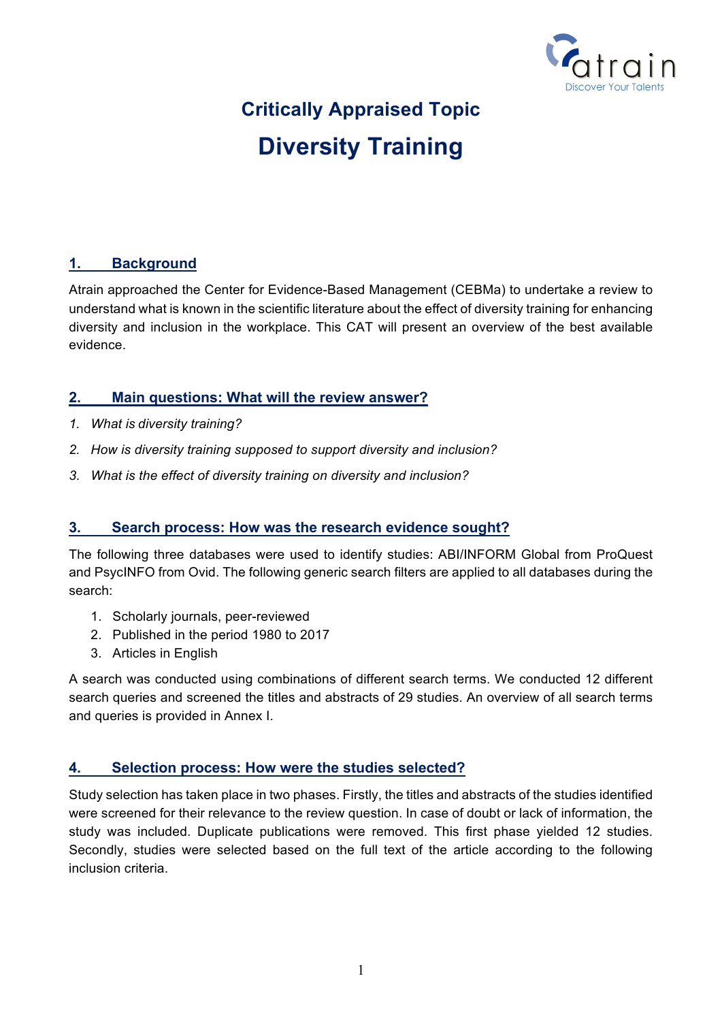

# **Critically Appraised Topic Diversity Training**

### **1. Background**

Atrain approached the Center for Evidence-Based Management (CEBMa) to undertake a review to understand what is known in the scientific literature about the effect of diversity training for enhancing diversity and inclusion in the workplace. This CAT will present an overview of the best available evidence.

### **2. Main questions: What will the review answer?**

- *1. What is diversity training?*
- *2. How is diversity training supposed to support diversity and inclusion?*
- *3. What is the effect of diversity training on diversity and inclusion?*

#### **3. Search process: How was the research evidence sought?**

The following three databases were used to identify studies: ABI/INFORM Global from ProQuest and PsycINFO from Ovid. The following generic search filters are applied to all databases during the search:

- 1. Scholarly journals, peer-reviewed
- 2. Published in the period 1980 to 2017
- 3. Articles in English

A search was conducted using combinations of different search terms. We conducted 12 different search queries and screened the titles and abstracts of 29 studies. An overview of all search terms and queries is provided in Annex I.

#### **4. Selection process: How were the studies selected?**

Study selection has taken place in two phases. Firstly, the titles and abstracts of the studies identified were screened for their relevance to the review question. In case of doubt or lack of information, the study was included. Duplicate publications were removed. This first phase yielded 12 studies. Secondly, studies were selected based on the full text of the article according to the following inclusion criteria.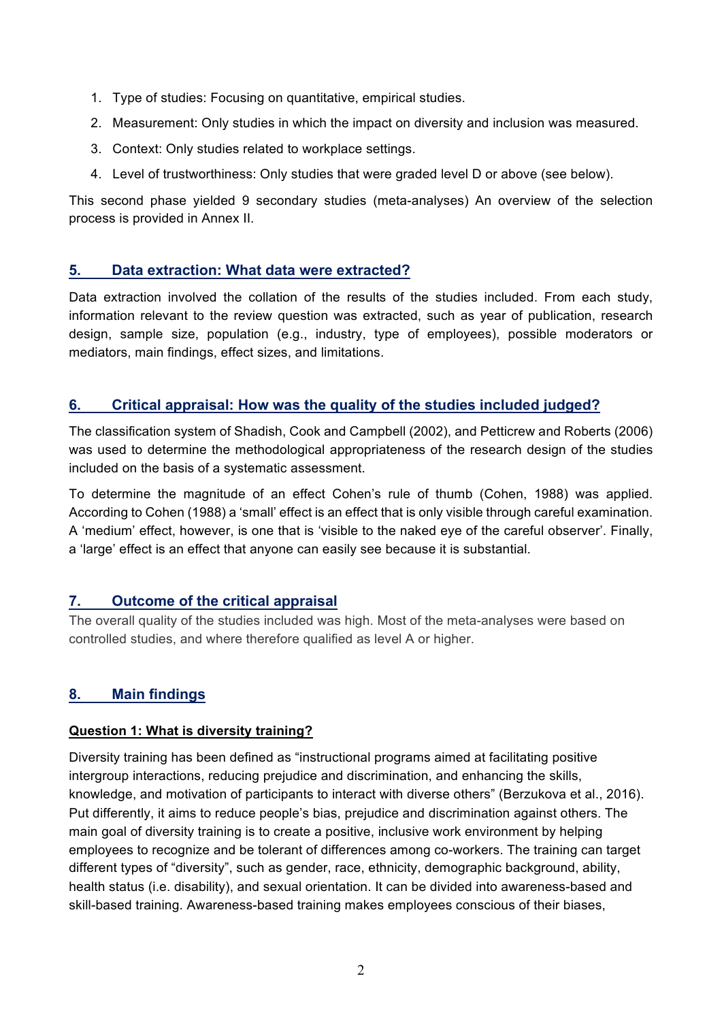- 1. Type of studies: Focusing on quantitative, empirical studies.
- 2. Measurement: Only studies in which the impact on diversity and inclusion was measured.
- 3. Context: Only studies related to workplace settings.
- 4. Level of trustworthiness: Only studies that were graded level D or above (see below).

This second phase yielded 9 secondary studies (meta-analyses) An overview of the selection process is provided in Annex II.

### **5. Data extraction: What data were extracted?**

Data extraction involved the collation of the results of the studies included. From each study, information relevant to the review question was extracted, such as year of publication, research design, sample size, population (e.g., industry, type of employees), possible moderators or mediators, main findings, effect sizes, and limitations.

# **6. Critical appraisal: How was the quality of the studies included judged?**

The classification system of Shadish, Cook and Campbell (2002), and Petticrew and Roberts (2006) was used to determine the methodological appropriateness of the research design of the studies included on the basis of a systematic assessment.

To determine the magnitude of an effect Cohen's rule of thumb (Cohen, 1988) was applied. According to Cohen (1988) a 'small' effect is an effect that is only visible through careful examination. A 'medium' effect, however, is one that is 'visible to the naked eye of the careful observer'. Finally, a 'large' effect is an effect that anyone can easily see because it is substantial.

#### **7. Outcome of the critical appraisal**

The overall quality of the studies included was high. Most of the meta-analyses were based on controlled studies, and where therefore qualified as level A or higher.

# **8. Main findings**

#### **Question 1: What is diversity training?**

Diversity training has been defined as "instructional programs aimed at facilitating positive intergroup interactions, reducing prejudice and discrimination, and enhancing the skills, knowledge, and motivation of participants to interact with diverse others" (Berzukova et al., 2016). Put differently, it aims to reduce people's bias, prejudice and discrimination against others. The main goal of diversity training is to create a positive, inclusive work environment by helping employees to recognize and be tolerant of differences among co-workers. The training can target different types of "diversity", such as gender, race, ethnicity, demographic background, ability, health status (i.e. disability), and sexual orientation. It can be divided into awareness-based and skill-based training. Awareness-based training makes employees conscious of their biases,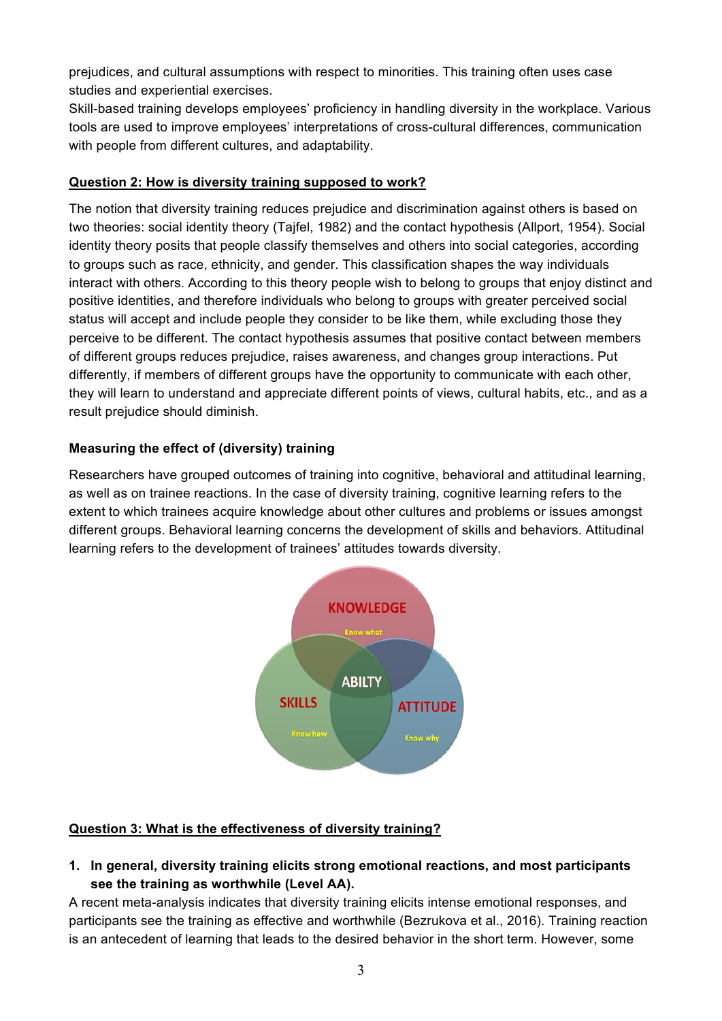prejudices, and cultural assumptions with respect to minorities. This training often uses case studies and experiential exercises.

Skill-based training develops employees' proficiency in handling diversity in the workplace. Various tools are used to improve employees' interpretations of cross-cultural differences, communication with people from different cultures, and adaptability.

#### **Question 2: How is diversity training supposed to work?**

The notion that diversity training reduces prejudice and discrimination against others is based on two theories: social identity theory (Tajfel, 1982) and the contact hypothesis (Allport, 1954). Social identity theory posits that people classify themselves and others into social categories, according to groups such as race, ethnicity, and gender. This classification shapes the way individuals interact with others. According to this theory people wish to belong to groups that enjoy distinct and positive identities, and therefore individuals who belong to groups with greater perceived social status will accept and include people they consider to be like them, while excluding those they perceive to be different. The contact hypothesis assumes that positive contact between members of different groups reduces prejudice, raises awareness, and changes group interactions. Put differently, if members of different groups have the opportunity to communicate with each other, they will learn to understand and appreciate different points of views, cultural habits, etc., and as a result prejudice should diminish.

# **Measuring the effect of (diversity) training**

Researchers have grouped outcomes of training into cognitive, behavioral and attitudinal learning, as well as on trainee reactions. In the case of diversity training, cognitive learning refers to the extent to which trainees acquire knowledge about other cultures and problems or issues amongst different groups. Behavioral learning concerns the development of skills and behaviors. Attitudinal learning refers to the development of trainees' attitudes towards diversity.



# **Question 3: What is the effectiveness of diversity training?**

**1. In general, diversity training elicits strong emotional reactions, and most participants see the training as worthwhile (Level AA).**

A recent meta-analysis indicates that diversity training elicits intense emotional responses, and participants see the training as effective and worthwhile (Bezrukova et al., 2016). Training reaction is an antecedent of learning that leads to the desired behavior in the short term. However, some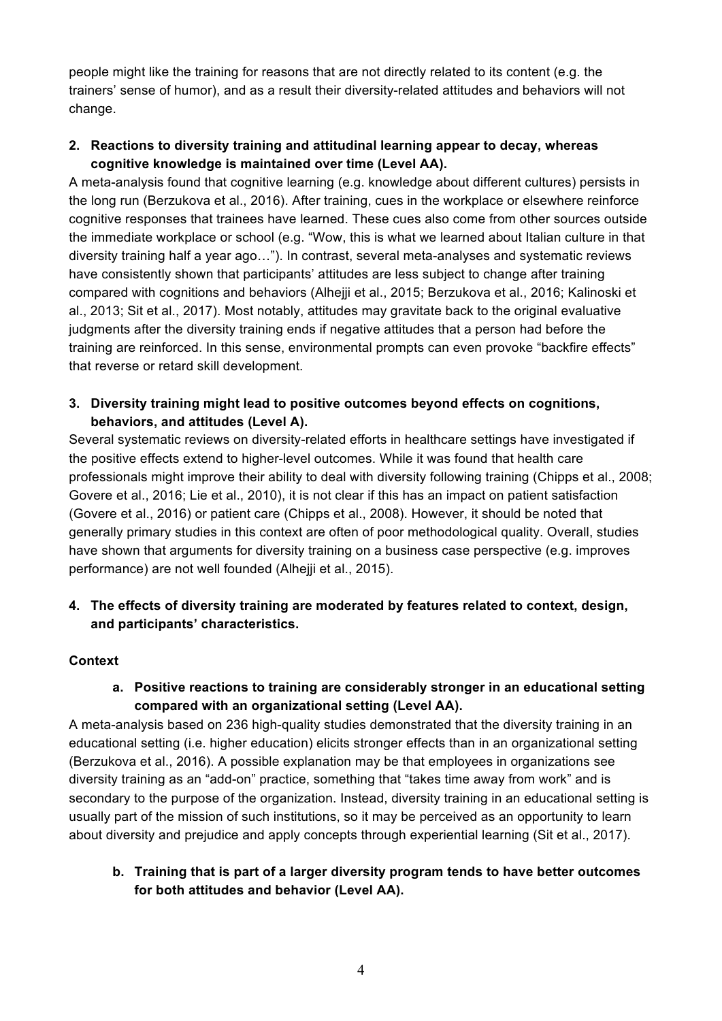people might like the training for reasons that are not directly related to its content (e.g. the trainers' sense of humor), and as a result their diversity-related attitudes and behaviors will not change.

#### **2. Reactions to diversity training and attitudinal learning appear to decay, whereas cognitive knowledge is maintained over time (Level AA).**

A meta-analysis found that cognitive learning (e.g. knowledge about different cultures) persists in the long run (Berzukova et al., 2016). After training, cues in the workplace or elsewhere reinforce cognitive responses that trainees have learned. These cues also come from other sources outside the immediate workplace or school (e.g. "Wow, this is what we learned about Italian culture in that diversity training half a year ago…"). In contrast, several meta-analyses and systematic reviews have consistently shown that participants' attitudes are less subject to change after training compared with cognitions and behaviors (Alhejji et al., 2015; Berzukova et al., 2016; Kalinoski et al., 2013; Sit et al., 2017). Most notably, attitudes may gravitate back to the original evaluative judgments after the diversity training ends if negative attitudes that a person had before the training are reinforced. In this sense, environmental prompts can even provoke "backfire effects" that reverse or retard skill development.

#### **3. Diversity training might lead to positive outcomes beyond effects on cognitions, behaviors, and attitudes (Level A).**

Several systematic reviews on diversity-related efforts in healthcare settings have investigated if the positive effects extend to higher-level outcomes. While it was found that health care professionals might improve their ability to deal with diversity following training (Chipps et al., 2008; Govere et al., 2016; Lie et al., 2010), it is not clear if this has an impact on patient satisfaction (Govere et al., 2016) or patient care (Chipps et al., 2008). However, it should be noted that generally primary studies in this context are often of poor methodological quality. Overall, studies have shown that arguments for diversity training on a business case perspective (e.g. improves performance) are not well founded (Alhejji et al., 2015).

### **4. The effects of diversity training are moderated by features related to context, design, and participants' characteristics.**

#### **Context**

### **a. Positive reactions to training are considerably stronger in an educational setting compared with an organizational setting (Level AA).**

A meta-analysis based on 236 high-quality studies demonstrated that the diversity training in an educational setting (i.e. higher education) elicits stronger effects than in an organizational setting (Berzukova et al., 2016). A possible explanation may be that employees in organizations see diversity training as an "add-on" practice, something that "takes time away from work" and is secondary to the purpose of the organization. Instead, diversity training in an educational setting is usually part of the mission of such institutions, so it may be perceived as an opportunity to learn about diversity and prejudice and apply concepts through experiential learning (Sit et al., 2017).

### **b. Training that is part of a larger diversity program tends to have better outcomes for both attitudes and behavior (Level AA).**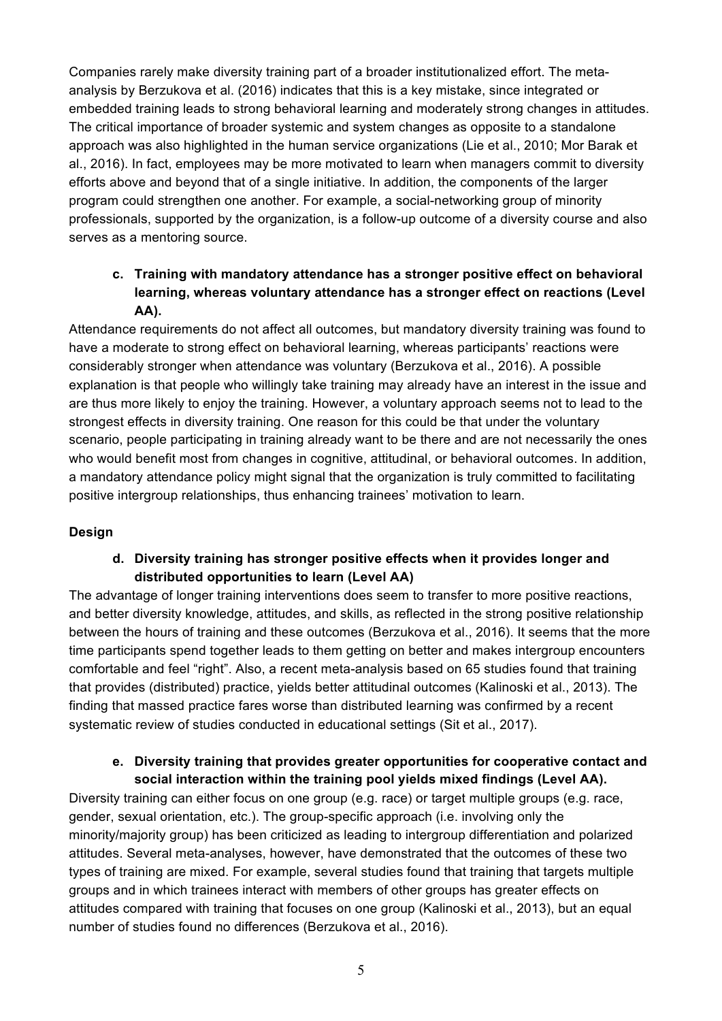Companies rarely make diversity training part of a broader institutionalized effort. The metaanalysis by Berzukova et al. (2016) indicates that this is a key mistake, since integrated or embedded training leads to strong behavioral learning and moderately strong changes in attitudes. The critical importance of broader systemic and system changes as opposite to a standalone approach was also highlighted in the human service organizations (Lie et al., 2010; Mor Barak et al., 2016). In fact, employees may be more motivated to learn when managers commit to diversity efforts above and beyond that of a single initiative. In addition, the components of the larger program could strengthen one another. For example, a social-networking group of minority professionals, supported by the organization, is a follow-up outcome of a diversity course and also serves as a mentoring source.

## **c. Training with mandatory attendance has a stronger positive effect on behavioral learning, whereas voluntary attendance has a stronger effect on reactions (Level AA).**

Attendance requirements do not affect all outcomes, but mandatory diversity training was found to have a moderate to strong effect on behavioral learning, whereas participants' reactions were considerably stronger when attendance was voluntary (Berzukova et al., 2016). A possible explanation is that people who willingly take training may already have an interest in the issue and are thus more likely to enjoy the training. However, a voluntary approach seems not to lead to the strongest effects in diversity training. One reason for this could be that under the voluntary scenario, people participating in training already want to be there and are not necessarily the ones who would benefit most from changes in cognitive, attitudinal, or behavioral outcomes. In addition, a mandatory attendance policy might signal that the organization is truly committed to facilitating positive intergroup relationships, thus enhancing trainees' motivation to learn.

#### **Design**

### **d. Diversity training has stronger positive effects when it provides longer and distributed opportunities to learn (Level AA)**

The advantage of longer training interventions does seem to transfer to more positive reactions, and better diversity knowledge, attitudes, and skills, as reflected in the strong positive relationship between the hours of training and these outcomes (Berzukova et al., 2016). It seems that the more time participants spend together leads to them getting on better and makes intergroup encounters comfortable and feel "right". Also, a recent meta-analysis based on 65 studies found that training that provides (distributed) practice, yields better attitudinal outcomes (Kalinoski et al., 2013). The finding that massed practice fares worse than distributed learning was confirmed by a recent systematic review of studies conducted in educational settings (Sit et al., 2017).

#### **e. Diversity training that provides greater opportunities for cooperative contact and social interaction within the training pool yields mixed findings (Level AA).**

Diversity training can either focus on one group (e.g. race) or target multiple groups (e.g. race, gender, sexual orientation, etc.). The group-specific approach (i.e. involving only the minority/majority group) has been criticized as leading to intergroup differentiation and polarized attitudes. Several meta-analyses, however, have demonstrated that the outcomes of these two types of training are mixed. For example, several studies found that training that targets multiple groups and in which trainees interact with members of other groups has greater effects on attitudes compared with training that focuses on one group (Kalinoski et al., 2013), but an equal number of studies found no differences (Berzukova et al., 2016).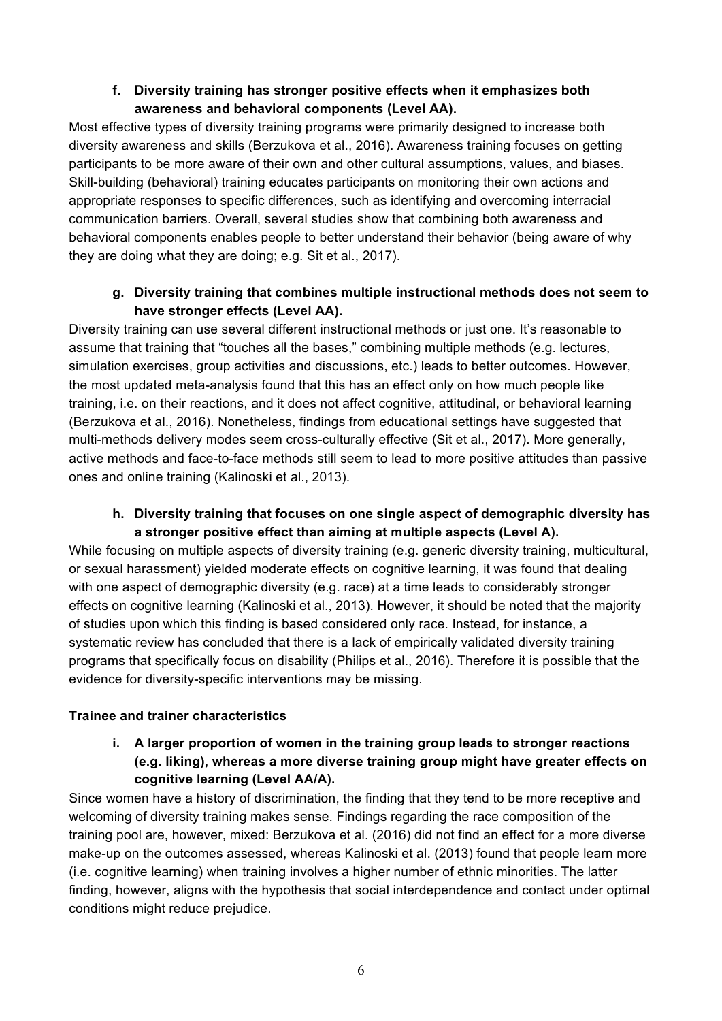## **f. Diversity training has stronger positive effects when it emphasizes both awareness and behavioral components (Level AA).**

Most effective types of diversity training programs were primarily designed to increase both diversity awareness and skills (Berzukova et al., 2016). Awareness training focuses on getting participants to be more aware of their own and other cultural assumptions, values, and biases. Skill-building (behavioral) training educates participants on monitoring their own actions and appropriate responses to specific differences, such as identifying and overcoming interracial communication barriers. Overall, several studies show that combining both awareness and behavioral components enables people to better understand their behavior (being aware of why they are doing what they are doing; e.g. Sit et al., 2017).

## **g. Diversity training that combines multiple instructional methods does not seem to have stronger effects (Level AA).**

Diversity training can use several different instructional methods or just one. It's reasonable to assume that training that "touches all the bases," combining multiple methods (e.g. lectures, simulation exercises, group activities and discussions, etc.) leads to better outcomes. However, the most updated meta-analysis found that this has an effect only on how much people like training, i.e. on their reactions, and it does not affect cognitive, attitudinal, or behavioral learning (Berzukova et al., 2016). Nonetheless, findings from educational settings have suggested that multi-methods delivery modes seem cross-culturally effective (Sit et al., 2017). More generally, active methods and face-to-face methods still seem to lead to more positive attitudes than passive ones and online training (Kalinoski et al., 2013).

### **h. Diversity training that focuses on one single aspect of demographic diversity has a stronger positive effect than aiming at multiple aspects (Level A).**

While focusing on multiple aspects of diversity training (e.g. generic diversity training, multicultural, or sexual harassment) yielded moderate effects on cognitive learning, it was found that dealing with one aspect of demographic diversity (e.g. race) at a time leads to considerably stronger effects on cognitive learning (Kalinoski et al., 2013). However, it should be noted that the majority of studies upon which this finding is based considered only race. Instead, for instance, a systematic review has concluded that there is a lack of empirically validated diversity training programs that specifically focus on disability (Philips et al., 2016). Therefore it is possible that the evidence for diversity-specific interventions may be missing.

# **Trainee and trainer characteristics**

#### **i. A larger proportion of women in the training group leads to stronger reactions (e.g. liking), whereas a more diverse training group might have greater effects on cognitive learning (Level AA/A).**

Since women have a history of discrimination, the finding that they tend to be more receptive and welcoming of diversity training makes sense. Findings regarding the race composition of the training pool are, however, mixed: Berzukova et al. (2016) did not find an effect for a more diverse make-up on the outcomes assessed, whereas Kalinoski et al. (2013) found that people learn more (i.e. cognitive learning) when training involves a higher number of ethnic minorities. The latter finding, however, aligns with the hypothesis that social interdependence and contact under optimal conditions might reduce prejudice.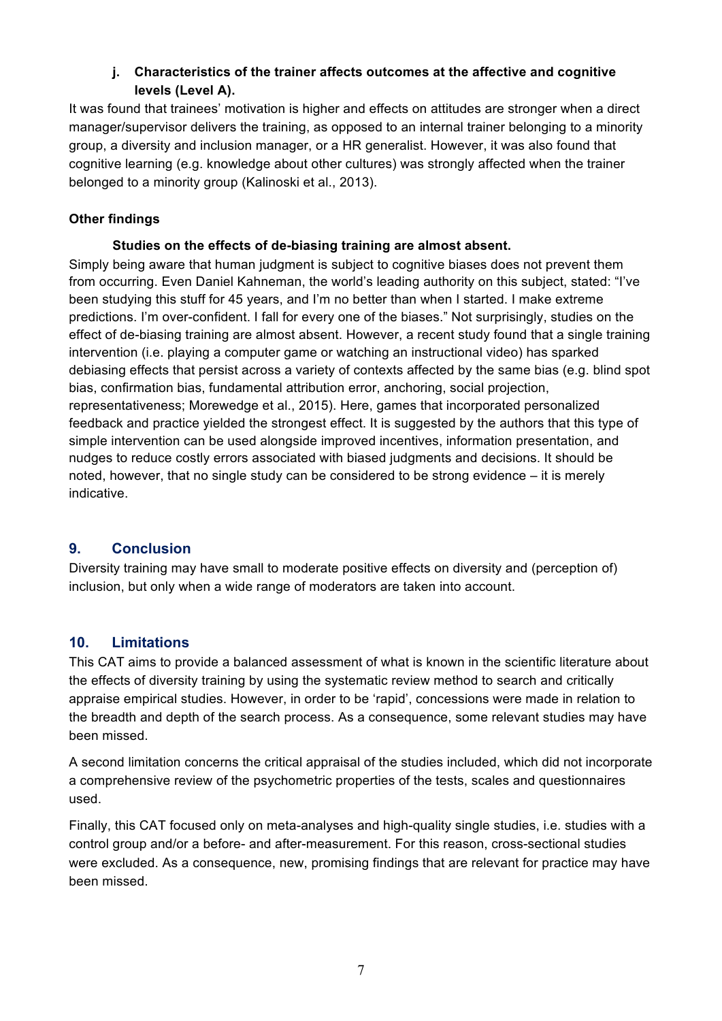## **j. Characteristics of the trainer affects outcomes at the affective and cognitive levels (Level A).**

It was found that trainees' motivation is higher and effects on attitudes are stronger when a direct manager/supervisor delivers the training, as opposed to an internal trainer belonging to a minority group, a diversity and inclusion manager, or a HR generalist. However, it was also found that cognitive learning (e.g. knowledge about other cultures) was strongly affected when the trainer belonged to a minority group (Kalinoski et al., 2013).

### **Other findings**

#### **Studies on the effects of de-biasing training are almost absent.**

Simply being aware that human judgment is subject to cognitive biases does not prevent them from occurring. Even Daniel Kahneman, the world's leading authority on this subject, stated: "I've been studying this stuff for 45 years, and I'm no better than when I started. I make extreme predictions. I'm over-confident. I fall for every one of the biases." Not surprisingly, studies on the effect of de-biasing training are almost absent. However, a recent study found that a single training intervention (i.e. playing a computer game or watching an instructional video) has sparked debiasing effects that persist across a variety of contexts affected by the same bias (e.g. blind spot bias, confirmation bias, fundamental attribution error, anchoring, social projection, representativeness; Morewedge et al., 2015). Here, games that incorporated personalized feedback and practice yielded the strongest effect. It is suggested by the authors that this type of simple intervention can be used alongside improved incentives, information presentation, and nudges to reduce costly errors associated with biased judgments and decisions. It should be noted, however, that no single study can be considered to be strong evidence – it is merely indicative.

# **9. Conclusion**

Diversity training may have small to moderate positive effects on diversity and (perception of) inclusion, but only when a wide range of moderators are taken into account.

# **10. Limitations**

This CAT aims to provide a balanced assessment of what is known in the scientific literature about the effects of diversity training by using the systematic review method to search and critically appraise empirical studies. However, in order to be 'rapid', concessions were made in relation to the breadth and depth of the search process. As a consequence, some relevant studies may have been missed.

A second limitation concerns the critical appraisal of the studies included, which did not incorporate a comprehensive review of the psychometric properties of the tests, scales and questionnaires used.

Finally, this CAT focused only on meta-analyses and high-quality single studies, i.e. studies with a control group and/or a before- and after-measurement. For this reason, cross-sectional studies were excluded. As a consequence, new, promising findings that are relevant for practice may have been missed.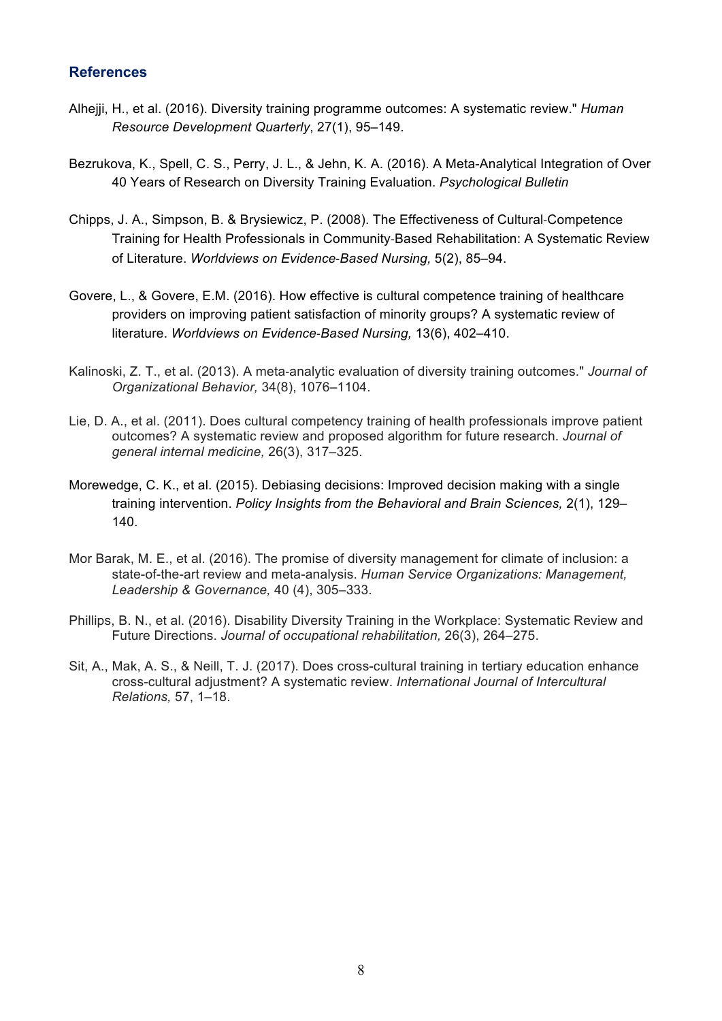# **References**

- Alhejji, H., et al. (2016). Diversity training programme outcomes: A systematic review." *Human Resource Development Quarterly*, 27(1), 95–149.
- Bezrukova, K., Spell, C. S., Perry, J. L., & Jehn, K. A. (2016). A Meta-Analytical Integration of Over 40 Years of Research on Diversity Training Evaluation. *Psychological Bulletin*
- Chipps, J. A., Simpson, B. & Brysiewicz, P. (2008). The Effectiveness of Cultural-Competence Training for Health Professionals in Community-Based Rehabilitation: A Systematic Review of Literature. *Worldviews on Evidence-Based Nursing,* 5(2), 85–94.
- Govere, L., & Govere, E.M. (2016). How effective is cultural competence training of healthcare providers on improving patient satisfaction of minority groups? A systematic review of literature. *Worldviews on Evidence-Based Nursing,* 13(6), 402–410.
- Kalinoski, Z. T., et al. (2013). A meta-analytic evaluation of diversity training outcomes." *Journal of Organizational Behavior,* 34(8), 1076–1104.
- Lie, D. A., et al. (2011). Does cultural competency training of health professionals improve patient outcomes? A systematic review and proposed algorithm for future research. *Journal of general internal medicine,* 26(3), 317–325.
- Morewedge, C. K., et al. (2015). Debiasing decisions: Improved decision making with a single training intervention. *Policy Insights from the Behavioral and Brain Sciences,* 2(1), 129– 140.
- Mor Barak, M. E., et al. (2016). The promise of diversity management for climate of inclusion: a state-of-the-art review and meta-analysis. *Human Service Organizations: Management, Leadership & Governance,* 40 (4), 305–333.
- Phillips, B. N., et al. (2016). Disability Diversity Training in the Workplace: Systematic Review and Future Directions. *Journal of occupational rehabilitation,* 26(3), 264–275.
- Sit, A., Mak, A. S., & Neill, T. J. (2017). Does cross-cultural training in tertiary education enhance cross-cultural adjustment? A systematic review. *International Journal of Intercultural Relations,* 57, 1–18.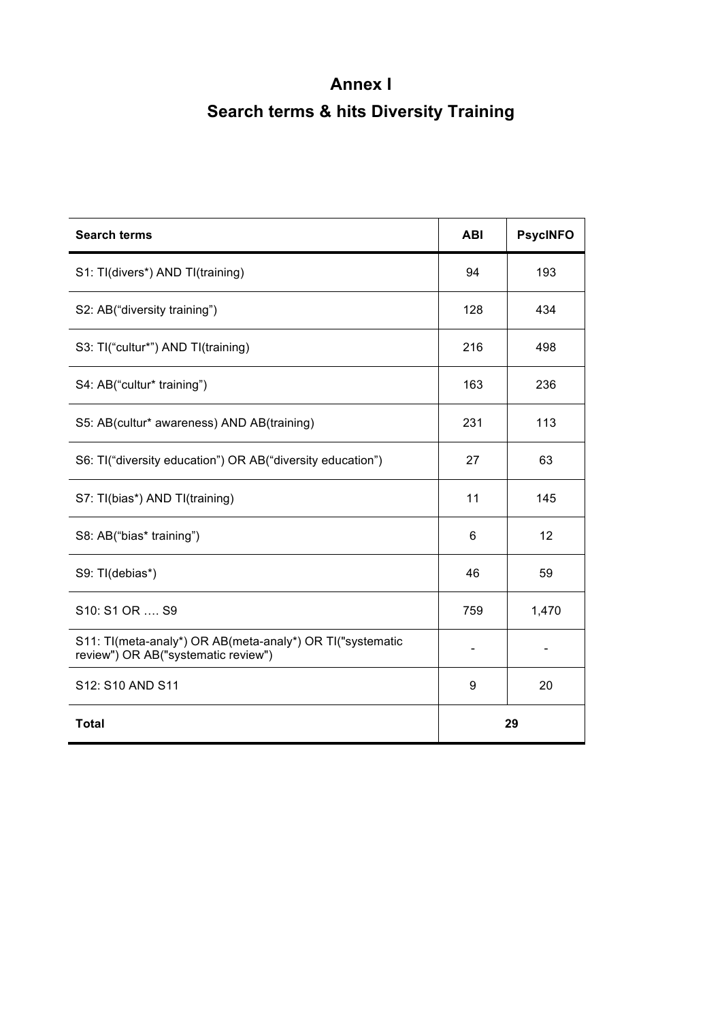# **Annex I Search terms & hits Diversity Training**

| <b>Search terms</b>                                                                              | <b>ABI</b> | <b>PsycINFO</b> |  |
|--------------------------------------------------------------------------------------------------|------------|-----------------|--|
| S1: Tl(divers*) AND Tl(training)                                                                 | 94         | 193             |  |
| S2: AB("diversity training")                                                                     | 128        | 434             |  |
| S3: Tl("cultur*") AND Tl(training)                                                               | 216        | 498             |  |
| S4: AB("cultur* training")                                                                       | 163        | 236             |  |
| S5: AB(cultur* awareness) AND AB(training)                                                       | 231        | 113             |  |
| S6: TI("diversity education") OR AB("diversity education")                                       | 27         | 63              |  |
| S7: Tl(bias*) AND Tl(training)                                                                   | 11         | 145             |  |
| S8: AB("bias* training")                                                                         | 6          | 12              |  |
| S9: TI(debias*)                                                                                  | 46         | 59              |  |
| S <sub>10</sub> : S <sub>1</sub> OR , S <sub>9</sub>                                             | 759        | 1,470           |  |
| S11: Tl(meta-analy*) OR AB(meta-analy*) OR Tl("systematic<br>review") OR AB("systematic review") |            |                 |  |
| S12: S10 AND S11                                                                                 | 9          | 20              |  |
| <b>Total</b>                                                                                     | 29         |                 |  |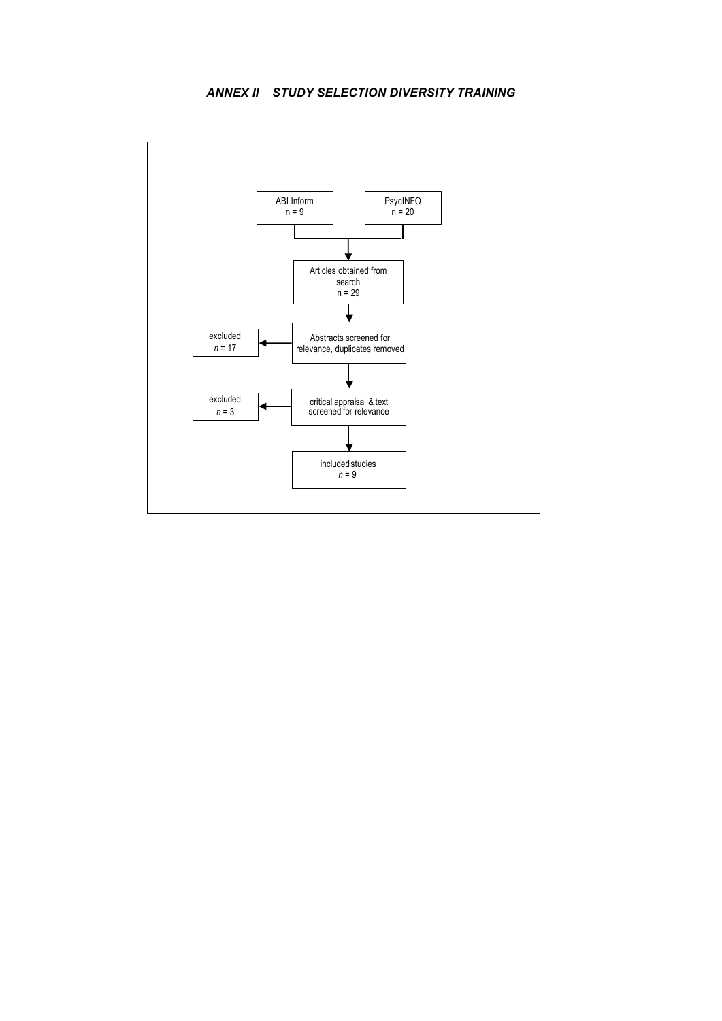#### *ANNEX II STUDY SELECTION DIVERSITY TRAINING*

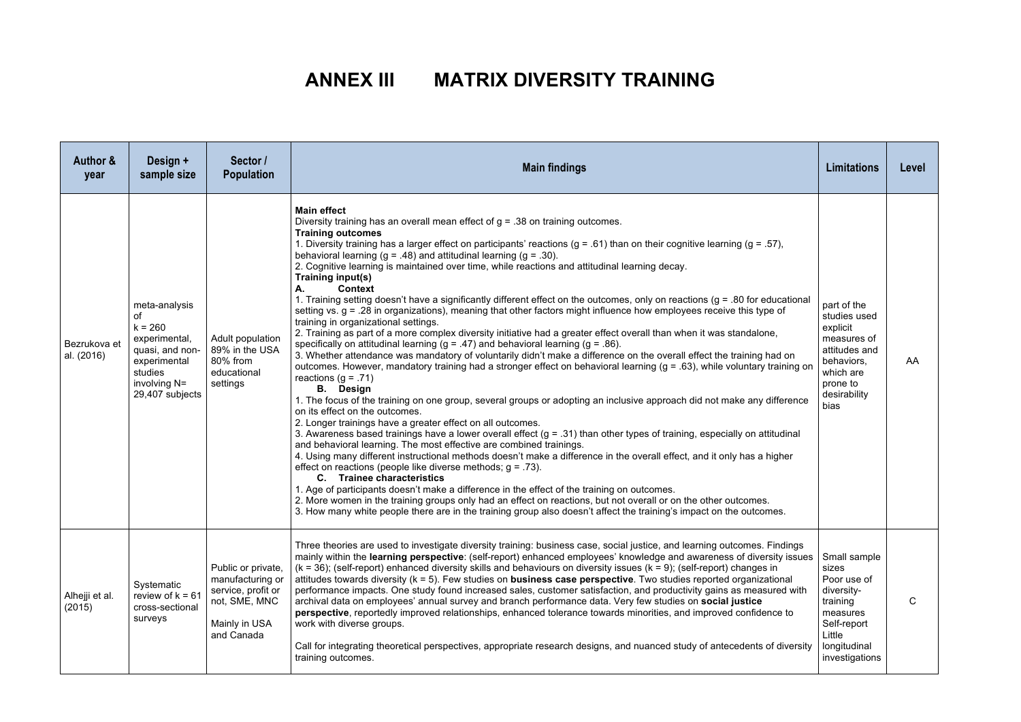# **ANNEX III MATRIX DIVERSITY TRAINING**

| Author &<br>year           | Design +<br>sample size                                                                                                            | Sector /<br><b>Population</b>                                                                                | <b>Main findings</b>                                                                                                                                                                                                                                                                                                                                                                                                                                                                                                                                                                                                                                                                                                                                                                                                                                                                                                                                                                                                                                                                                                                                                                                                                                                                                                                                                                                                                                                                                                                                                                                                                                                                                                                                                                                                                                                                                                                                                                                                                                                                                                                                                                                                                                                                                                               |                                                                                                                                               | Level |
|----------------------------|------------------------------------------------------------------------------------------------------------------------------------|--------------------------------------------------------------------------------------------------------------|------------------------------------------------------------------------------------------------------------------------------------------------------------------------------------------------------------------------------------------------------------------------------------------------------------------------------------------------------------------------------------------------------------------------------------------------------------------------------------------------------------------------------------------------------------------------------------------------------------------------------------------------------------------------------------------------------------------------------------------------------------------------------------------------------------------------------------------------------------------------------------------------------------------------------------------------------------------------------------------------------------------------------------------------------------------------------------------------------------------------------------------------------------------------------------------------------------------------------------------------------------------------------------------------------------------------------------------------------------------------------------------------------------------------------------------------------------------------------------------------------------------------------------------------------------------------------------------------------------------------------------------------------------------------------------------------------------------------------------------------------------------------------------------------------------------------------------------------------------------------------------------------------------------------------------------------------------------------------------------------------------------------------------------------------------------------------------------------------------------------------------------------------------------------------------------------------------------------------------------------------------------------------------------------------------------------------------|-----------------------------------------------------------------------------------------------------------------------------------------------|-------|
| Bezrukova et<br>al. (2016) | meta-analysis<br>of<br>$k = 260$<br>experimental,<br>quasi, and non-<br>experimental<br>studies<br>involving N=<br>29,407 subjects | Adult population<br>89% in the USA<br>80% from<br>educational<br>settings                                    | <b>Main effect</b><br>Diversity training has an overall mean effect of $g = .38$ on training outcomes.<br><b>Training outcomes</b><br>1. Diversity training has a larger effect on participants' reactions ( $g = .61$ ) than on their cognitive learning ( $g = .57$ ),<br>behavioral learning ( $g = .48$ ) and attitudinal learning ( $g = .30$ ).<br>2. Cognitive learning is maintained over time, while reactions and attitudinal learning decay.<br><b>Training input(s)</b><br>А.<br>Context<br>1. Training setting doesn't have a significantly different effect on the outcomes, only on reactions (q = .80 for educational<br>setting vs. g = .28 in organizations), meaning that other factors might influence how employees receive this type of<br>training in organizational settings.<br>2. Training as part of a more complex diversity initiative had a greater effect overall than when it was standalone,<br>specifically on attitudinal learning $(g = .47)$ and behavioral learning $(g = .86)$ .<br>3. Whether attendance was mandatory of voluntarily didn't make a difference on the overall effect the training had on<br>outcomes. However, mandatory training had a stronger effect on behavioral learning (g = .63), while voluntary training on<br>reactions ( $g = .71$ )<br><b>B.</b> Design<br>1. The focus of the training on one group, several groups or adopting an inclusive approach did not make any difference<br>on its effect on the outcomes.<br>2. Longer trainings have a greater effect on all outcomes.<br>3. Awareness based trainings have a lower overall effect $(g = .31)$ than other types of training, especially on attitudinal<br>and behavioral learning. The most effective are combined trainings.<br>4. Using many different instructional methods doesn't make a difference in the overall effect, and it only has a higher<br>effect on reactions (people like diverse methods; $q = .73$ ).<br>C. Trainee characteristics<br>1. Age of participants doesn't make a difference in the effect of the training on outcomes.<br>2. More women in the training groups only had an effect on reactions, but not overall or on the other outcomes.<br>3. How many white people there are in the training group also doesn't affect the training's impact on the outcomes. | part of the<br>studies used<br>explicit<br>measures of<br>attitudes and<br>behaviors,<br>which are<br>prone to<br>desirability<br><b>bias</b> | AA    |
| Alhejji et al.<br>(2015)   | Systematic<br>review of $k = 6$<br>cross-sectional<br>surveys                                                                      | Public or private,<br>manufacturing or<br>service, profit or<br>not, SME, MNC<br>Mainly in USA<br>and Canada | Three theories are used to investigate diversity training: business case, social justice, and learning outcomes. Findings<br>mainly within the learning perspective: (self-report) enhanced employees' knowledge and awareness of diversity issues<br>$(k = 36)$ ; (self-report) enhanced diversity skills and behaviours on diversity issues $(k = 9)$ ; (self-report) changes in<br>attitudes towards diversity $(k = 5)$ . Few studies on <b>business case perspective</b> . Two studies reported organizational<br>performance impacts. One study found increased sales, customer satisfaction, and productivity gains as measured with<br>archival data on employees' annual survey and branch performance data. Very few studies on social justice<br>perspective, reportedly improved relationships, enhanced tolerance towards minorities, and improved confidence to<br>work with diverse groups.<br>Call for integrating theoretical perspectives, appropriate research designs, and nuanced study of antecedents of diversity<br>training outcomes.                                                                                                                                                                                                                                                                                                                                                                                                                                                                                                                                                                                                                                                                                                                                                                                                                                                                                                                                                                                                                                                                                                                                                                                                                                                                     | Small sample<br>sizes<br>Poor use of<br>diversity-<br>training<br>measures<br>Self-report<br>Little<br>longitudinal<br>investigations         | C     |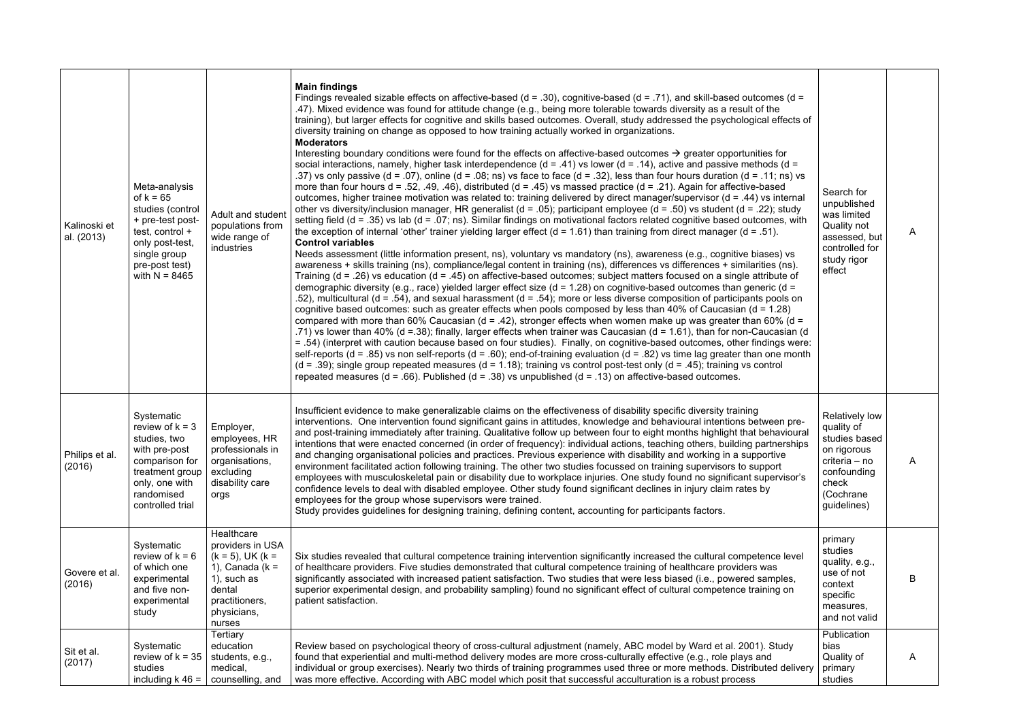| Kalinoski et<br>al. (2013) | Meta-analysis<br>of $k = 65$<br>studies (control<br>+ pre-test post-<br>test, control +<br>only post-test,<br>single group<br>pre-post test)<br>with $N = 8465$ | Adult and studen<br>populations from<br>wide range of<br>industries                                                                               | <b>Main findings</b><br>Findings revealed sizable effects on affective-based ( $d = .30$ ), cognitive-based ( $d = .71$ ), and skill-based outcomes ( $d =$<br>.47). Mixed evidence was found for attitude change (e.g., being more tolerable towards diversity as a result of the<br>training), but larger effects for cognitive and skills based outcomes. Overall, study addressed the psychological effects of<br>diversity training on change as opposed to how training actually worked in organizations.<br><b>Moderators</b><br>Interesting boundary conditions were found for the effects on affective-based outcomes $\rightarrow$ greater opportunities for<br>social interactions, namely, higher task interdependence ( $d = .41$ ) vs lower ( $d = .14$ ), active and passive methods ( $d =$<br>.37) vs only passive (d = .07), online (d = .08; ns) vs face to face (d = .32), less than four hours duration (d = .11; ns) vs<br>more than four hours $d = .52, .49, .46$ , distributed $(d = .45)$ vs massed practice $(d = .21)$ . Again for affective-based<br>outcomes, higher trainee motivation was related to: training delivered by direct manager/supervisor ( $d = .44$ ) vs internal<br>other vs diversity/inclusion manager, HR generalist ( $d = .05$ ); participant employee ( $d = .50$ ) vs student ( $d = .22$ ); study<br>setting field ( $d = .35$ ) vs lab ( $d = .07$ ; ns). Similar findings on motivational factors related cognitive based outcomes, with<br>the exception of internal 'other' trainer yielding larger effect ( $d = 1.61$ ) than training from direct manager ( $d = .51$ ).<br><b>Control variables</b><br>Needs assessment (little information present, ns), voluntary vs mandatory (ns), awareness (e.g., cognitive biases) vs<br>awareness + skills training (ns), compliance/legal content in training (ns), differences vs differences + similarities (ns).<br>Training ( $d = .26$ ) vs education ( $d = .45$ ) on affective-based outcomes; subject matters focused on a single attribute of<br>demographic diversity (e.g., race) yielded larger effect size ( $d = 1.28$ ) on cognitive-based outcomes than generic ( $d =$<br>.52), multicultural (d = .54), and sexual harassment (d = .54); more or less diverse composition of participants pools on<br>cognitive based outcomes: such as greater effects when pools composed by less than $40\%$ of Caucasian ( $d = 1.28$ )<br>compared with more than 60% Caucasian (d = .42), stronger effects when women make up was greater than 60% (d =<br>.71) vs lower than 40% (d =.38); finally, larger effects when trainer was Caucasian (d = 1.61), than for non-Caucasian (d<br>= .54) (interpret with caution because based on four studies). Finally, on cognitive-based outcomes, other findings were:<br>self-reports (d = .85) vs non self-reports (d = .60); end-of-training evaluation (d = .82) vs time lag greater than one month<br>$(d = .39)$ ; single group repeated measures $(d = 1.18)$ ; training vs control post-test only $(d = .45)$ ; training vs control<br>repeated measures ( $d = .66$ ). Published ( $d = .38$ ) vs unpublished ( $d = .13$ ) on affective-based outcomes. | Search for<br>unpublished<br>was limited<br>Quality not<br>assessed, but<br>controlled for<br>study rigor<br>effect                      | A |
|----------------------------|-----------------------------------------------------------------------------------------------------------------------------------------------------------------|---------------------------------------------------------------------------------------------------------------------------------------------------|-----------------------------------------------------------------------------------------------------------------------------------------------------------------------------------------------------------------------------------------------------------------------------------------------------------------------------------------------------------------------------------------------------------------------------------------------------------------------------------------------------------------------------------------------------------------------------------------------------------------------------------------------------------------------------------------------------------------------------------------------------------------------------------------------------------------------------------------------------------------------------------------------------------------------------------------------------------------------------------------------------------------------------------------------------------------------------------------------------------------------------------------------------------------------------------------------------------------------------------------------------------------------------------------------------------------------------------------------------------------------------------------------------------------------------------------------------------------------------------------------------------------------------------------------------------------------------------------------------------------------------------------------------------------------------------------------------------------------------------------------------------------------------------------------------------------------------------------------------------------------------------------------------------------------------------------------------------------------------------------------------------------------------------------------------------------------------------------------------------------------------------------------------------------------------------------------------------------------------------------------------------------------------------------------------------------------------------------------------------------------------------------------------------------------------------------------------------------------------------------------------------------------------------------------------------------------------------------------------------------------------------------------------------------------------------------------------------------------------------------------------------------------------------------------------------------------------------------------------------------------------------------------------------------------------------------------------------------------------------------------------------------------------------------------------------------------------------------------------------------------------------------------------------------------------------------------------------------------------|------------------------------------------------------------------------------------------------------------------------------------------|---|
| Philips et al.<br>(2016)   | Systematic<br>review of $k = 3$<br>studies, two<br>with pre-post<br>comparison for<br>treatment group<br>only, one with<br>randomised<br>controlled trial       | Employer,<br>employees, HR<br>professionals in<br>organisations,<br>excluding<br>disability care<br>orgs                                          | Insufficient evidence to make generalizable claims on the effectiveness of disability specific diversity training<br>interventions. One intervention found significant gains in attitudes, knowledge and behavioural intentions between pre-<br>and post-training immediately after training. Qualitative follow up between four to eight months highlight that behavioural<br>intentions that were enacted concerned (in order of frequency): individual actions, teaching others, building partnerships<br>and changing organisational policies and practices. Previous experience with disability and working in a supportive<br>environment facilitated action following training. The other two studies focussed on training supervisors to support<br>employees with musculoskeletal pain or disability due to workplace injuries. One study found no significant supervisor's<br>confidence levels to deal with disabled employee. Other study found significant declines in injury claim rates by<br>employees for the group whose supervisors were trained.<br>Study provides guidelines for designing training, defining content, accounting for participants factors.                                                                                                                                                                                                                                                                                                                                                                                                                                                                                                                                                                                                                                                                                                                                                                                                                                                                                                                                                                                                                                                                                                                                                                                                                                                                                                                                                                                                                                                                                                                                                                                                                                                                                                                                                                                                                                                                                                                                                                                                                                            | <b>Relatively low</b><br>quality of<br>studies based<br>on rigorous<br>criteria - no<br>confounding<br>check<br>(Cochrane<br>guidelines) | Α |
| Govere et al.<br>(2016)    | Systematic<br>review of $k = 6$<br>of which one<br>experimental<br>and five non-<br>experimental<br>study                                                       | Healthcare<br>providers in USA<br>$(k = 5)$ , UK $(k =$<br>1), Canada ( $k =$<br>1), such as<br>dental<br>practitioners.<br>physicians,<br>nurses | Six studies revealed that cultural competence training intervention significantly increased the cultural competence level<br>of healthcare providers. Five studies demonstrated that cultural competence training of healthcare providers was<br>significantly associated with increased patient satisfaction. Two studies that were less biased (i.e., powered samples,<br>superior experimental design, and probability sampling) found no significant effect of cultural competence training on<br>patient satisfaction.                                                                                                                                                                                                                                                                                                                                                                                                                                                                                                                                                                                                                                                                                                                                                                                                                                                                                                                                                                                                                                                                                                                                                                                                                                                                                                                                                                                                                                                                                                                                                                                                                                                                                                                                                                                                                                                                                                                                                                                                                                                                                                                                                                                                                                                                                                                                                                                                                                                                                                                                                                                                                                                                                                 | primary<br>studies<br>quality, e.g.,<br>use of not<br>context<br>specific<br>measures,<br>and not valid                                  | В |
| Sit et al.<br>(2017)       | Systematic<br>review of $k = 35$<br>studies<br>including $k$ 46 =                                                                                               | Tertiary<br>education<br>students, e.g.,<br>medical,<br>counselling, and                                                                          | Review based on psychological theory of cross-cultural adjustment (namely, ABC model by Ward et al. 2001). Study<br>found that experiential and multi-method delivery modes are more cross-culturally effective (e.g., role plays and<br>individual or group exercises). Nearly two thirds of training programmes used three or more methods. Distributed delivery<br>was more effective. According with ABC model which posit that successful acculturation is a robust process                                                                                                                                                                                                                                                                                                                                                                                                                                                                                                                                                                                                                                                                                                                                                                                                                                                                                                                                                                                                                                                                                                                                                                                                                                                                                                                                                                                                                                                                                                                                                                                                                                                                                                                                                                                                                                                                                                                                                                                                                                                                                                                                                                                                                                                                                                                                                                                                                                                                                                                                                                                                                                                                                                                                            | Publication<br>bias<br>Quality of<br>primary<br>studies                                                                                  | Α |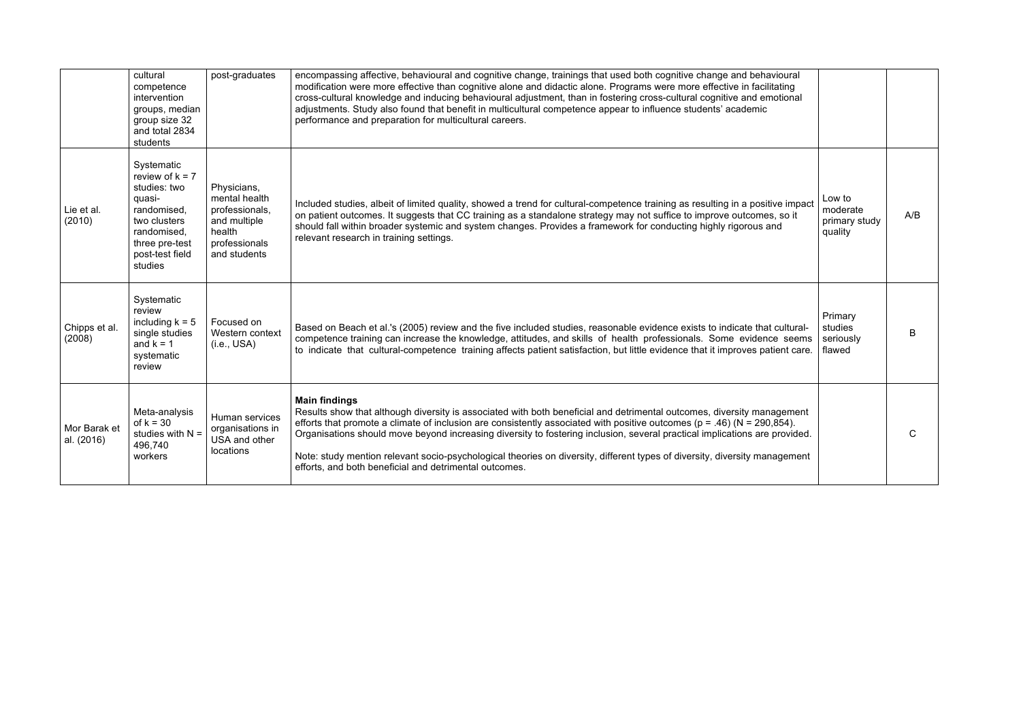|                            | cultural<br>competence<br>intervention<br>groups, median<br>group size 32<br>and total 2834<br>students                                                 | post-graduates                                                                                            | encompassing affective, behavioural and cognitive change, trainings that used both cognitive change and behavioural<br>modification were more effective than cognitive alone and didactic alone. Programs were more effective in facilitating<br>cross-cultural knowledge and inducing behavioural adjustment, than in fostering cross-cultural cognitive and emotional<br>adjustments. Study also found that benefit in multicultural competence appear to influence students' academic<br>performance and preparation for multicultural careers.                                                      |                                                |     |
|----------------------------|---------------------------------------------------------------------------------------------------------------------------------------------------------|-----------------------------------------------------------------------------------------------------------|---------------------------------------------------------------------------------------------------------------------------------------------------------------------------------------------------------------------------------------------------------------------------------------------------------------------------------------------------------------------------------------------------------------------------------------------------------------------------------------------------------------------------------------------------------------------------------------------------------|------------------------------------------------|-----|
| Lie et al.<br>(2010)       | Systematic<br>review of $k = 7$<br>studies: two<br>quasi-<br>randomised,<br>two clusters<br>randomised,<br>three pre-test<br>post-test field<br>studies | Physicians,<br>mental health<br>professionals,<br>and multiple<br>health<br>professionals<br>and students | Included studies, albeit of limited quality, showed a trend for cultural-competence training as resulting in a positive impact<br>on patient outcomes. It suggests that CC training as a standalone strategy may not suffice to improve outcomes, so it<br>should fall within broader systemic and system changes. Provides a framework for conducting highly rigorous and<br>relevant research in training settings.                                                                                                                                                                                   | Low to<br>moderate<br>primary study<br>quality | A/B |
| Chipps et al.<br>(2008)    | Systematic<br>review<br>including $k = 5$<br>single studies<br>and $k = 1$<br>systematic<br>review                                                      | Focused on<br>Western context<br>(i.e., USA)                                                              | Based on Beach et al.'s (2005) review and the five included studies, reasonable evidence exists to indicate that cultural-<br>competence training can increase the knowledge, attitudes, and skills of health professionals. Some evidence seems<br>to indicate that cultural-competence training affects patient satisfaction, but little evidence that it improves patient care.                                                                                                                                                                                                                      | Primary<br>studies<br>seriously<br>flawed      | B   |
| Mor Barak et<br>al. (2016) | Meta-analysis<br>of $k = 30$<br>studies with N =<br>496,740<br>workers                                                                                  | Human services<br>organisations in<br>USA and other<br>locations                                          | <b>Main findings</b><br>Results show that although diversity is associated with both beneficial and detrimental outcomes, diversity management<br>efforts that promote a climate of inclusion are consistently associated with positive outcomes ( $p = .46$ ) ( $N = 290,854$ ).<br>Organisations should move beyond increasing diversity to fostering inclusion, several practical implications are provided.<br>Note: study mention relevant socio-psychological theories on diversity, different types of diversity, diversity management<br>efforts, and both beneficial and detrimental outcomes. |                                                | C   |